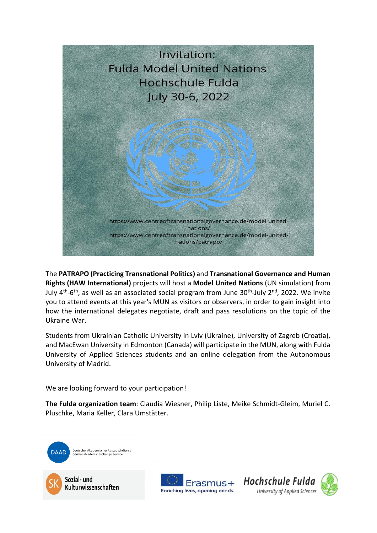

The **PATRAPO (Practicing Transnational Politics)** and **Transnational Governance and Human Rights (HAW International)** projects will host a **Model United Nations** (UN simulation) from July  $4<sup>th</sup>$ -6<sup>th</sup>, as well as an associated social program from June 30<sup>th</sup>-July 2<sup>nd</sup>, 2022. We invite you to attend events at this year's MUN as visitors or observers, in order to gain insight into how the international delegates negotiate, draft and pass resolutions on the topic of the Ukraine War.

Students from Ukrainian Catholic University in Lviv (Ukraine), University of Zagreb (Croatia), and MacEwan University in Edmonton (Canada) will participate in the MUN, along with Fulda University of Applied Sciences students and an online delegation from the Autonomous University of Madrid.

We are looking forward to your participation!

**The Fulda organization team**: Claudia Wiesner, Philip Liste, Meike Schmidt-Gleim, Muriel C. Pluschke, Maria Keller, Clara Umstätter.